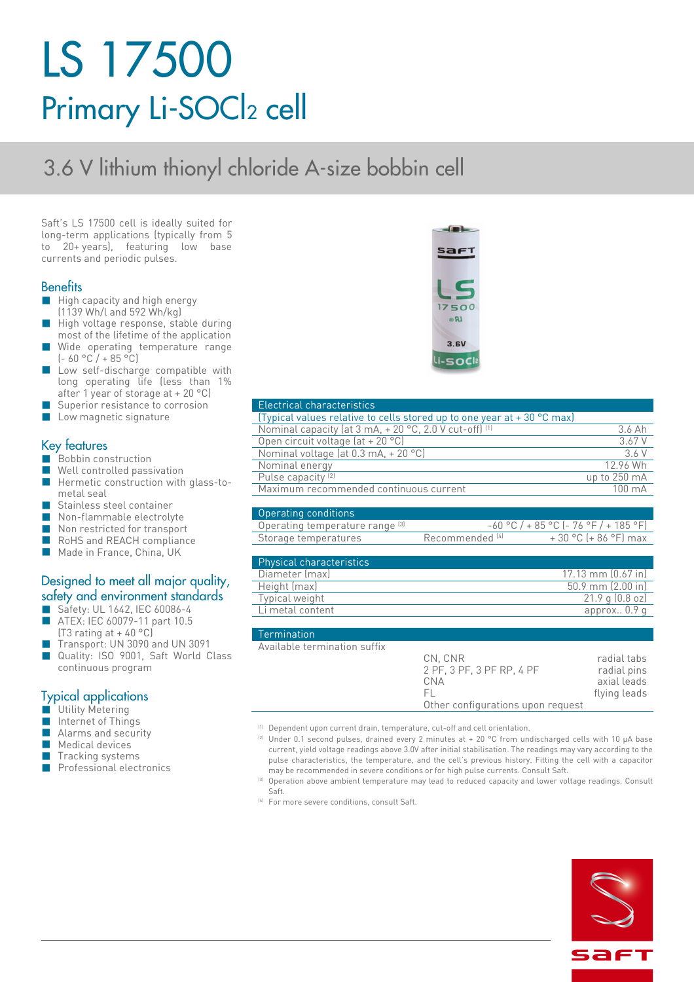# LS 17500 Primary Li-SOC<sub>2</sub> cell

# 3.6 V lithium thionyl chloride A-size bobbin cell

Saft's LS 17500 cell is ideally suited for long-term applications (typically from 5 to 20+ years), featuring low base currents and periodic pulses.

#### **Benefits**

- **High capacity and high energy**
- (1139 Wh/l and 592 Wh/kg)
- High voltage response, stable during most of the lifetime of the application Wide operating temperature range
- $(-60 °C / + 85 °C)$
- Low self-discharge compatible with long operating life (less than 1% after 1 year of storage at + 20 °C)
- Superior resistance to corrosion
- **Low magnetic signature**

#### Key features

- Bobbin construction
- Well controlled passivation
- Hermetic construction with glass-tometal seal
- Stainless steel container
- Non-flammable electrolyte
- Non restricted for transport
- RoHS and REACH compliance
- Made in France, China, UK

#### Designed to meet all major quality, safety and environment standards

- Safety: UL 1642, IEC 60086-4 ■ ATEX: IEC 60079-11 part 10.5
- $(T3$  rating at + 40 °C)
- Transport: UN 3090 and UN 3091
- Quality: ISO 9001, Saft World Class continuous program

#### Typical applications

- **Utility Metering**
- Internet of Things
- Alarms and security
- Medical devices
- Tracking systems
- **Professional electronics**



#### Electrical characteristics

| (Typical values relative to cells stored up to one year at $+30\degree$ C max) |                  |
|--------------------------------------------------------------------------------|------------------|
| Nominal capacity (at 3 mA, + 20 °C, 2.0 V cut-off) (1)                         | 3.6 Ah           |
| Open circuit voltage $(at + 20 °C)$                                            | 3.67 V           |
| Nominal voltage (at 0.3 mA, + 20 °C)                                           | 36 V             |
| Nominal energy                                                                 | 12.96 Wh         |
| Pulse capacity <sup>(2)</sup>                                                  | up to 250 mA     |
| Maximum recommended continuous current                                         | $100 \text{ mA}$ |
|                                                                                |                  |

| Operating conditions            |                            |                                         |
|---------------------------------|----------------------------|-----------------------------------------|
| Operating temperature range [3] |                            | $-60$ °C / + 85 °C [- 76 °F / + 185 °F] |
| Storage temperatures            | Recommended <sup>[4]</sup> | $+30$ °C (+ 86 °F) max                  |

| <b>Physical characteristics</b> |                              |
|---------------------------------|------------------------------|
| Diameter (max)                  | $17.13 \text{ mm}$ (0.67 in) |
| Height (max)                    | $50.9$ mm $(2.00)$ in        |
| Typical weight                  | $21.9$ q $(0.8$ oz)          |
| Li metal content                | approx. $0.9q$               |

#### Termination

| Available termination suffix |                                   |              |
|------------------------------|-----------------------------------|--------------|
|                              | CN. CNR                           | radial tabs  |
|                              | 2 PF, 3 PF, 3 PF RP, 4 PF         | radial pins  |
|                              | CNA                               | axial leads  |
|                              | EL.                               | flying leads |
|                              | Other configurations upon request |              |

- (1) Dependent upon current drain, temperature, cut-off and cell orientation.
- <sup>(2)</sup> Under 0.1 second pulses, drained every 2 minutes at + 20 °C from undischarged cells with 10  $\mu$ A base current, yield voltage readings above 3.0V after initial stabilisation. The readings may vary according to the pulse characteristics, the temperature, and the cell's previous history. Fitting the cell with a capacitor may be recommended in severe conditions or for high pulse currents. Consult Saft.
- <sup>(3)</sup> Operation above ambient temperature may lead to reduced capacity and lower voltage readings. Consult Saft.
- <sup>(4)</sup> For more severe conditions, consult Saft.